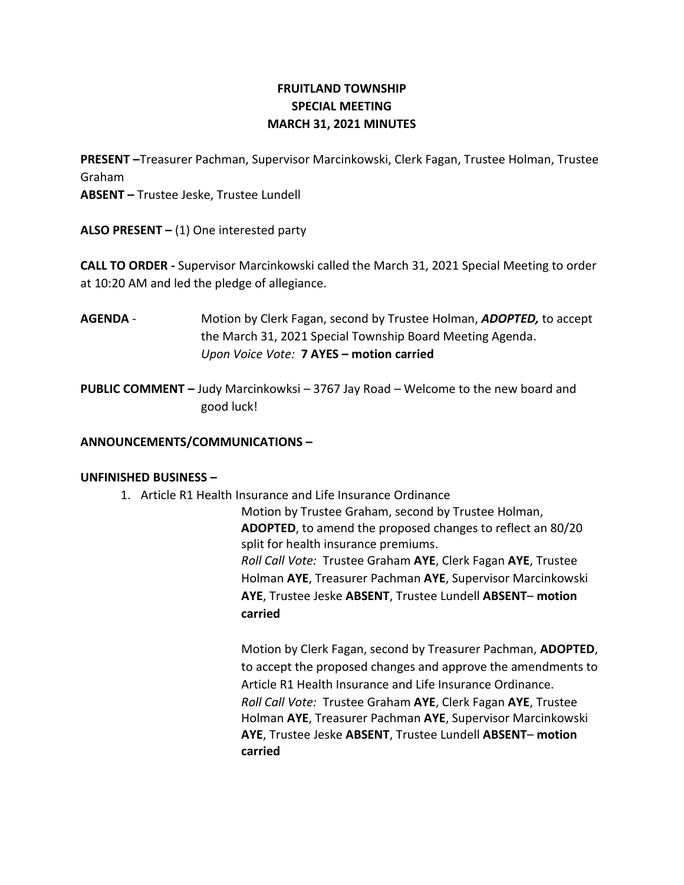# **FRUITLAND TOWNSHIP SPECIAL MEETING MARCH 31, 2021 MINUTES**

**PRESENT –**Treasurer Pachman, Supervisor Marcinkowski, Clerk Fagan, Trustee Holman, Trustee Graham

**ABSENT –** Trustee Jeske, Trustee Lundell

**ALSO PRESENT –** (1) One interested party

**CALL TO ORDER -** Supervisor Marcinkowski called the March 31, 2021 Special Meeting to order at 10:20 AM and led the pledge of allegiance.

**AGENDA** - Motion by Clerk Fagan, second by Trustee Holman, *ADOPTED,* to accept the March 31, 2021 Special Township Board Meeting Agenda. *Upon Voice Vote:* **7 AYES – motion carried**

**PUBLIC COMMENT –** Judy Marcinkowksi – 3767 Jay Road – Welcome to the new board and good luck!

## **ANNOUNCEMENTS/COMMUNICATIONS –**

### **UNFINISHED BUSINESS –**

1. Article R1 Health Insurance and Life Insurance Ordinance

Motion by Trustee Graham, second by Trustee Holman, **ADOPTED**, to amend the proposed changes to reflect an 80/20 split for health insurance premiums. *Roll Call Vote:* Trustee Graham **AYE**, Clerk Fagan **AYE**, Trustee Holman **AYE**, Treasurer Pachman **AYE**, Supervisor Marcinkowski **AYE**, Trustee Jeske **ABSENT**, Trustee Lundell **ABSENT**– **motion carried**

Motion by Clerk Fagan, second by Treasurer Pachman, **ADOPTED**, to accept the proposed changes and approve the amendments to Article R1 Health Insurance and Life Insurance Ordinance. *Roll Call Vote:* Trustee Graham **AYE**, Clerk Fagan **AYE**, Trustee Holman **AYE**, Treasurer Pachman **AYE**, Supervisor Marcinkowski **AYE**, Trustee Jeske **ABSENT**, Trustee Lundell **ABSENT**– **motion carried**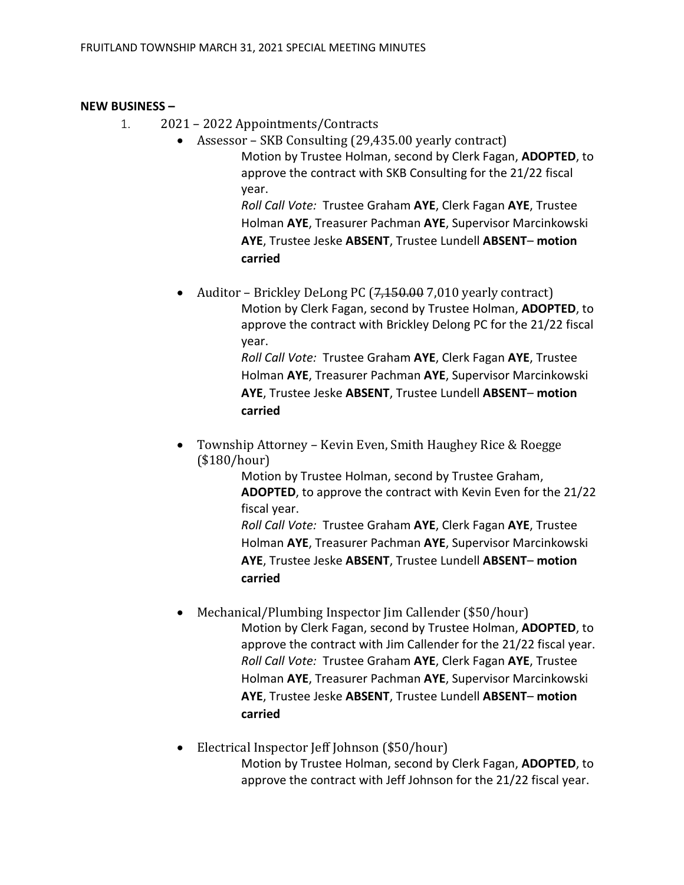### **NEW BUSINESS –**

- 1. 2021 2022 Appointments/Contracts
	- Assessor SKB Consulting (29,435.00 yearly contract) Motion by Trustee Holman, second by Clerk Fagan, **ADOPTED**, to approve the contract with SKB Consulting for the 21/22 fiscal year.

*Roll Call Vote:* Trustee Graham **AYE**, Clerk Fagan **AYE**, Trustee Holman **AYE**, Treasurer Pachman **AYE**, Supervisor Marcinkowski **AYE**, Trustee Jeske **ABSENT**, Trustee Lundell **ABSENT**– **motion carried**

Auditor – Brickley DeLong PC (<del>7,150.00</del> 7,010 yearly contract) Motion by Clerk Fagan, second by Trustee Holman, **ADOPTED**, to approve the contract with Brickley Delong PC for the 21/22 fiscal year. *Roll Call Vote:* Trustee Graham **AYE**, Clerk Fagan **AYE**, Trustee

Holman **AYE**, Treasurer Pachman **AYE**, Supervisor Marcinkowski **AYE**, Trustee Jeske **ABSENT**, Trustee Lundell **ABSENT**– **motion carried**

• Township Attorney – Kevin Even, Smith Haughey Rice & Roegge (\$180/hour)

> Motion by Trustee Holman, second by Trustee Graham, **ADOPTED**, to approve the contract with Kevin Even for the 21/22 fiscal year.

*Roll Call Vote:* Trustee Graham **AYE**, Clerk Fagan **AYE**, Trustee Holman **AYE**, Treasurer Pachman **AYE**, Supervisor Marcinkowski **AYE**, Trustee Jeske **ABSENT**, Trustee Lundell **ABSENT**– **motion carried**

- Mechanical/Plumbing Inspector Jim Callender (\$50/hour) Motion by Clerk Fagan, second by Trustee Holman, **ADOPTED**, to approve the contract with Jim Callender for the 21/22 fiscal year. *Roll Call Vote:* Trustee Graham **AYE**, Clerk Fagan **AYE**, Trustee Holman **AYE**, Treasurer Pachman **AYE**, Supervisor Marcinkowski **AYE**, Trustee Jeske **ABSENT**, Trustee Lundell **ABSENT**– **motion carried**
- Electrical Inspector Jeff Johnson (\$50/hour) Motion by Trustee Holman, second by Clerk Fagan, **ADOPTED**, to approve the contract with Jeff Johnson for the 21/22 fiscal year.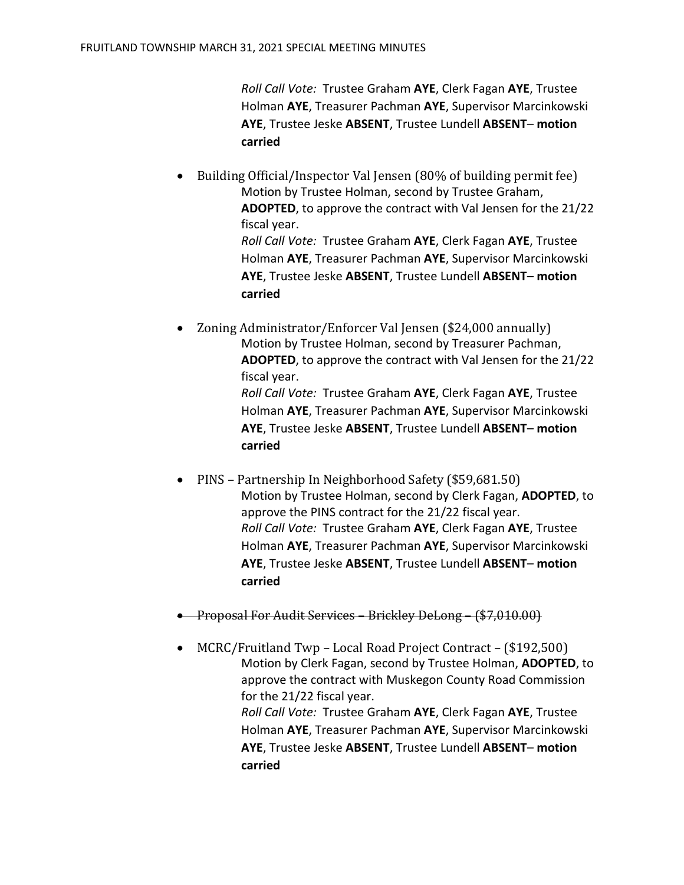*Roll Call Vote:* Trustee Graham **AYE**, Clerk Fagan **AYE**, Trustee Holman **AYE**, Treasurer Pachman **AYE**, Supervisor Marcinkowski **AYE**, Trustee Jeske **ABSENT**, Trustee Lundell **ABSENT**– **motion carried**

- Building Official/Inspector Val Jensen (80% of building permit fee) Motion by Trustee Holman, second by Trustee Graham, **ADOPTED**, to approve the contract with Val Jensen for the 21/22 fiscal year. *Roll Call Vote:* Trustee Graham **AYE**, Clerk Fagan **AYE**, Trustee Holman **AYE**, Treasurer Pachman **AYE**, Supervisor Marcinkowski **AYE**, Trustee Jeske **ABSENT**, Trustee Lundell **ABSENT**– **motion carried**
- Zoning Administrator/Enforcer Val Jensen (\$24,000 annually) Motion by Trustee Holman, second by Treasurer Pachman, **ADOPTED**, to approve the contract with Val Jensen for the 21/22 fiscal year. *Roll Call Vote:* Trustee Graham **AYE**, Clerk Fagan **AYE**, Trustee Holman **AYE**, Treasurer Pachman **AYE**, Supervisor Marcinkowski **AYE**, Trustee Jeske **ABSENT**, Trustee Lundell **ABSENT**– **motion carried**
- PINS Partnership In Neighborhood Safety (\$59,681.50) Motion by Trustee Holman, second by Clerk Fagan, **ADOPTED**, to approve the PINS contract for the 21/22 fiscal year. *Roll Call Vote:* Trustee Graham **AYE**, Clerk Fagan **AYE**, Trustee Holman **AYE**, Treasurer Pachman **AYE**, Supervisor Marcinkowski **AYE**, Trustee Jeske **ABSENT**, Trustee Lundell **ABSENT**– **motion carried**
- Proposal For Audit Services Brickley DeLong (\$7,010.00)
- MCRC/Fruitland Twp Local Road Project Contract (\$192,500) Motion by Clerk Fagan, second by Trustee Holman, **ADOPTED**, to approve the contract with Muskegon County Road Commission for the 21/22 fiscal year. *Roll Call Vote:* Trustee Graham **AYE**, Clerk Fagan **AYE**, Trustee Holman **AYE**, Treasurer Pachman **AYE**, Supervisor Marcinkowski **AYE**, Trustee Jeske **ABSENT**, Trustee Lundell **ABSENT**– **motion carried**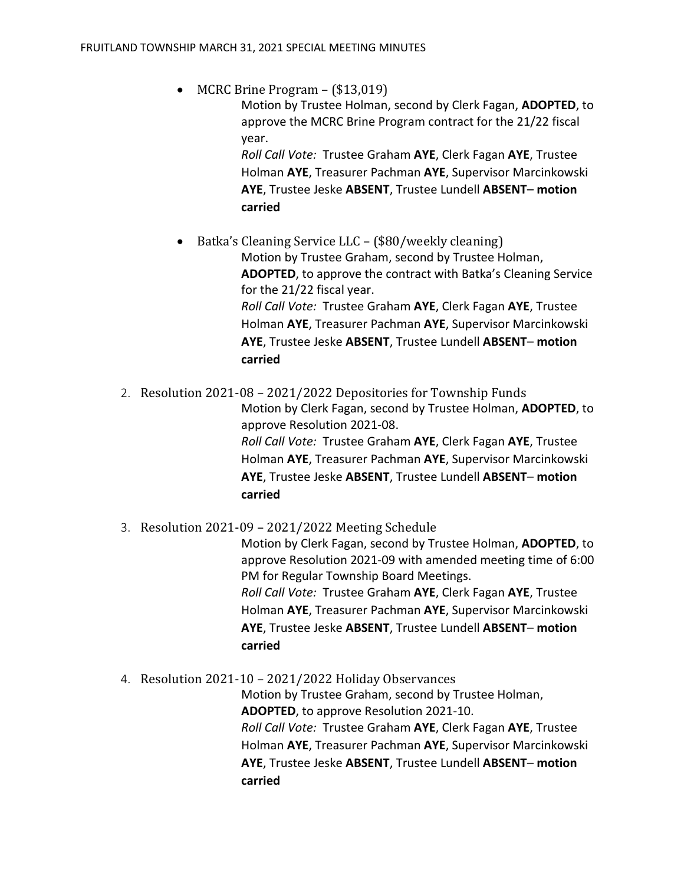• MCRC Brine Program – (\$13,019)

Motion by Trustee Holman, second by Clerk Fagan, **ADOPTED**, to approve the MCRC Brine Program contract for the 21/22 fiscal year.

*Roll Call Vote:* Trustee Graham **AYE**, Clerk Fagan **AYE**, Trustee Holman **AYE**, Treasurer Pachman **AYE**, Supervisor Marcinkowski **AYE**, Trustee Jeske **ABSENT**, Trustee Lundell **ABSENT**– **motion carried**

• Batka's Cleaning Service LLC – (\$80/weekly cleaning)

Motion by Trustee Graham, second by Trustee Holman, **ADOPTED**, to approve the contract with Batka's Cleaning Service for the 21/22 fiscal year. *Roll Call Vote:* Trustee Graham **AYE**, Clerk Fagan **AYE**, Trustee Holman **AYE**, Treasurer Pachman **AYE**, Supervisor Marcinkowski **AYE**, Trustee Jeske **ABSENT**, Trustee Lundell **ABSENT**– **motion carried**

2. Resolution 2021-08 – 2021/2022 Depositories for Township Funds Motion by Clerk Fagan, second by Trustee Holman, **ADOPTED**, to approve Resolution 2021-08. *Roll Call Vote:* Trustee Graham **AYE**, Clerk Fagan **AYE**, Trustee Holman **AYE**, Treasurer Pachman **AYE**, Supervisor Marcinkowski **AYE**, Trustee Jeske **ABSENT**, Trustee Lundell **ABSENT**– **motion carried**

3. Resolution 2021-09 – 2021/2022 Meeting Schedule

Motion by Clerk Fagan, second by Trustee Holman, **ADOPTED**, to approve Resolution 2021-09 with amended meeting time of 6:00 PM for Regular Township Board Meetings. *Roll Call Vote:* Trustee Graham **AYE**, Clerk Fagan **AYE**, Trustee Holman **AYE**, Treasurer Pachman **AYE**, Supervisor Marcinkowski **AYE**, Trustee Jeske **ABSENT**, Trustee Lundell **ABSENT**– **motion carried**

4. Resolution 2021-10 – 2021/2022 Holiday Observances

Motion by Trustee Graham, second by Trustee Holman, **ADOPTED**, to approve Resolution 2021-10. *Roll Call Vote:* Trustee Graham **AYE**, Clerk Fagan **AYE**, Trustee Holman **AYE**, Treasurer Pachman **AYE**, Supervisor Marcinkowski **AYE**, Trustee Jeske **ABSENT**, Trustee Lundell **ABSENT**– **motion carried**